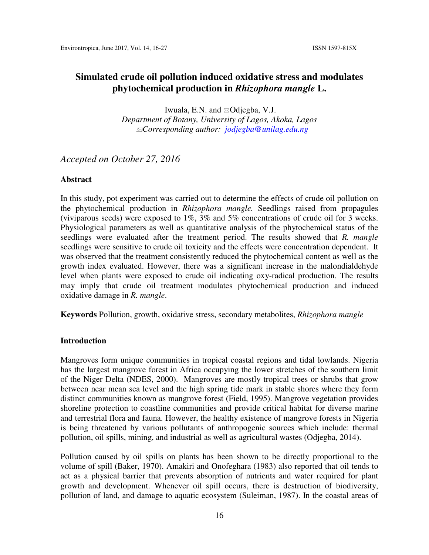Iwuala, E.N. and ⊠Odjegba, V.J. *Department of Botany, University of Lagos, Akoka, Lagos Corresponding author: jodjegba@unilag.edu.ng* 

# *Accepted on October 27, 2016*

#### **Abstract**

In this study, pot experiment was carried out to determine the effects of crude oil pollution on the phytochemical production in *Rhizophora mangle.* Seedlings raised from propagules (viviparous seeds) were exposed to 1%, 3% and 5% concentrations of crude oil for 3 weeks. Physiological parameters as well as quantitative analysis of the phytochemical status of the seedlings were evaluated after the treatment period. The results showed that *R. mangle* seedlings were sensitive to crude oil toxicity and the effects were concentration dependent. It was observed that the treatment consistently reduced the phytochemical content as well as the growth index evaluated. However, there was a significant increase in the malondialdehyde level when plants were exposed to crude oil indicating oxy-radical production. The results may imply that crude oil treatment modulates phytochemical production and induced oxidative damage in *R. mangle*.

**Keywords** Pollution, growth, oxidative stress, secondary metabolites, *Rhizophora mangle*

#### **Introduction**

Mangroves form unique communities in tropical coastal regions and tidal lowlands. Nigeria has the largest mangrove forest in Africa occupying the lower stretches of the southern limit of the Niger Delta (NDES, 2000). Mangroves are mostly tropical trees or shrubs that grow between near mean sea level and the high spring tide mark in stable shores where they form distinct communities known as mangrove forest (Field, 1995). Mangrove vegetation provides shoreline protection to coastline communities and provide critical habitat for diverse marine and terrestrial flora and fauna. However, the healthy existence of mangrove forests in Nigeria is being threatened by various pollutants of anthropogenic sources which include: thermal pollution, oil spills, mining, and industrial as well as agricultural wastes (Odjegba, 2014).

Pollution caused by oil spills on plants has been shown to be directly proportional to the volume of spill (Baker, 1970). Amakiri and Onofeghara (1983) also reported that oil tends to act as a physical barrier that prevents absorption of nutrients and water required for plant growth and development. Whenever oil spill occurs, there is destruction of biodiversity, pollution of land, and damage to aquatic ecosystem (Suleiman, 1987). In the coastal areas of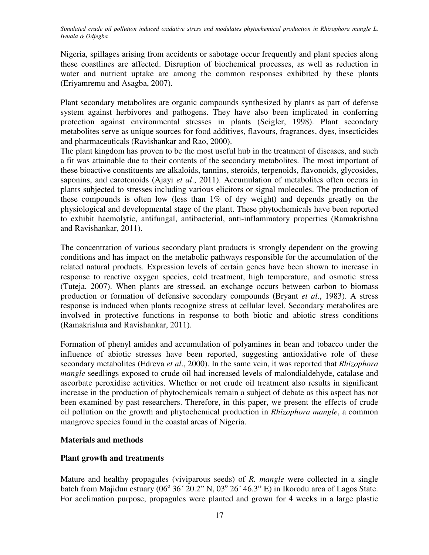Nigeria, spillages arising from accidents or sabotage occur frequently and plant species along these coastlines are affected. Disruption of biochemical processes, as well as reduction in water and nutrient uptake are among the common responses exhibited by these plants (Eriyamremu and Asagba, 2007).

Plant secondary metabolites are organic compounds synthesized by plants as part of defense system against herbivores and pathogens. They have also been implicated in conferring protection against environmental stresses in plants (Seigler, 1998). Plant secondary metabolites serve as unique sources for food additives, flavours, fragrances, dyes, insecticides and pharmaceuticals (Ravishankar and Rao, 2000).

The plant kingdom has proven to be the most useful hub in the treatment of diseases, and such a fit was attainable due to their contents of the secondary metabolites. The most important of these bioactive constituents are alkaloids, tannins, steroids, terpenoids, flavonoids, glycosides, saponins, and carotenoids (Ajayi *et al*., 2011). Accumulation of metabolites often occurs in plants subjected to stresses including various elicitors or signal molecules. The production of these compounds is often low (less than 1% of dry weight) and depends greatly on the physiological and developmental stage of the plant. These phytochemicals have been reported to exhibit haemolytic, antifungal, antibacterial, anti-inflammatory properties (Ramakrishna and Ravishankar, 2011).

The concentration of various secondary plant products is strongly dependent on the growing conditions and has impact on the metabolic pathways responsible for the accumulation of the related natural products. Expression levels of certain genes have been shown to increase in response to reactive oxygen species, cold treatment, high temperature, and osmotic stress (Tuteja, 2007). When plants are stressed, an exchange occurs between carbon to biomass production or formation of defensive secondary compounds (Bryant *et al*., 1983). A stress response is induced when plants recognize stress at cellular level. Secondary metabolites are involved in protective functions in response to both biotic and abiotic stress conditions (Ramakrishna and Ravishankar, 2011).

Formation of phenyl amides and accumulation of polyamines in bean and tobacco under the influence of abiotic stresses have been reported, suggesting antioxidative role of these secondary metabolites (Edreva *et al*., 2000). In the same vein, it was reported that *Rhizophora mangle* seedlings exposed to crude oil had increased levels of malondialdehyde, catalase and ascorbate peroxidise activities. Whether or not crude oil treatment also results in significant increase in the production of phytochemicals remain a subject of debate as this aspect has not been examined by past researchers. Therefore, in this paper, we present the effects of crude oil pollution on the growth and phytochemical production in *Rhizophora mangle*, a common mangrove species found in the coastal areas of Nigeria.

# **Materials and methods**

# **Plant growth and treatments**

Mature and healthy propagules (viviparous seeds) of *R. mangle* were collected in a single batch from Majidun estuary  $(06^{\circ} 36' 20.2" N, 03^{\circ} 26' 46.3" E)$  in Ikorodu area of Lagos State. For acclimation purpose, propagules were planted and grown for 4 weeks in a large plastic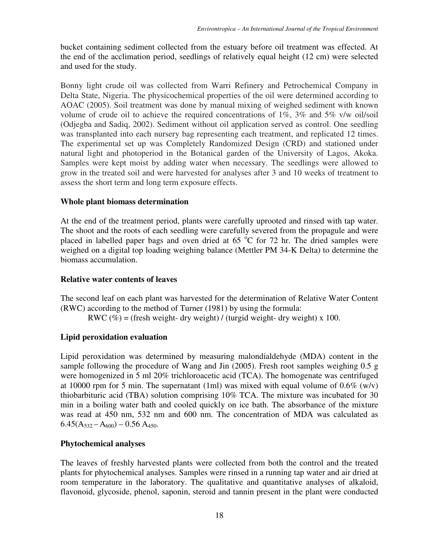bucket containing sediment collected from the estuary before oil treatment was effected. At the end of the acclimation period, seedlings of relatively equal height (12 cm) were selected and used for the study.

Bonny light crude oil was collected from Warri Refinery and Petrochemical Company in Delta State, Nigeria. The physicochemical properties of the oil were determined according to AOAC (2005). Soil treatment was done by manual mixing of weighed sediment with known volume of crude oil to achieve the required concentrations of 1%, 3% and 5% v/w oil/soil (Odjegba and Sadiq, 2002). Sediment without oil application served as control. One seedling was transplanted into each nursery bag representing each treatment, and replicated 12 times. The experimental set up was Completely Randomized Design (CRD) and stationed under natural light and photoperiod in the Botanical garden of the University of Lagos, Akoka. Samples were kept moist by adding water when necessary. The seedlings were allowed to grow in the treated soil and were harvested for analyses after 3 and 10 weeks of treatment to assess the short term and long term exposure effects.

#### **Whole plant biomass determination**

At the end of the treatment period, plants were carefully uprooted and rinsed with tap water. The shoot and the roots of each seedling were carefully severed from the propagule and were placed in labelled paper bags and oven dried at  $65\degree$ C for 72 hr. The dried samples were weighed on a digital top loading weighing balance (Mettler PM 34-K Delta) to determine the biomass accumulation.

#### **Relative water contents of leaves**

The second leaf on each plant was harvested for the determination of Relative Water Content (RWC) according to the method of Turner (1981) by using the formula:

RWC (%) = (fresh weight- dry weight) / (turgid weight- dry weight) x 100.

# **Lipid peroxidation evaluation**

Lipid peroxidation was determined by measuring malondialdehyde (MDA) content in the sample following the procedure of Wang and Jin (2005). Fresh root samples weighing 0.5 g were homogenized in 5 ml 20% trichloroacetic acid (TCA). The homogenate was centrifuged at 10000 rpm for 5 min. The supernatant (1ml) was mixed with equal volume of  $0.6\%$  (w/v) thiobarbituric acid (TBA) solution comprising 10% TCA. The mixture was incubated for 30 min in a boiling water bath and cooled quickly on ice bath. The absorbance of the mixture was read at 450 nm, 532 nm and 600 nm. The concentration of MDA was calculated as  $6.45(A_{532} - A_{600}) - 0.56 A_{450}.$ 

# **Phytochemical analyses**

The leaves of freshly harvested plants were collected from both the control and the treated plants for phytochemical analyses. Samples were rinsed in a running tap water and air dried at room temperature in the laboratory. The qualitative and quantitative analyses of alkaloid, flavonoid, glycoside, phenol, saponin, steroid and tannin present in the plant were conducted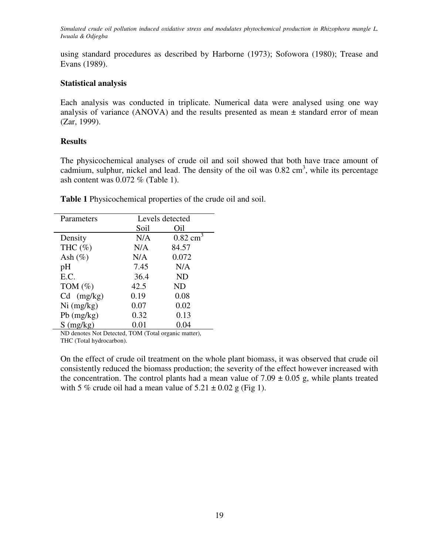using standard procedures as described by Harborne (1973); Sofowora (1980); Trease and Evans (1989).

# **Statistical analysis**

Each analysis was conducted in triplicate. Numerical data were analysed using one way analysis of variance (ANOVA) and the results presented as mean  $\pm$  standard error of mean (Zar, 1999).

# **Results**

The physicochemical analyses of crude oil and soil showed that both have trace amount of cadmium, sulphur, nickel and lead. The density of the oil was  $0.82 \text{ cm}^3$ , while its percentage ash content was 0.072 % (Table 1).

| Parameters   | Levels detected |                     |
|--------------|-----------------|---------------------|
|              | Soil            | Oil                 |
| Density      | N/A             | $0.82 \text{ cm}^3$ |
| THC $(\% )$  | N/A             | 84.57               |
| Ash $(\%)$   | N/A             | 0.072               |
| pH           | 7.45            | N/A                 |
| E.C.         | 36.4            | <b>ND</b>           |
| TOM $(\%)$   | 42.5            | ND                  |
| $Cd$ (mg/kg) | 0.19            | 0.08                |
| $Ni$ (mg/kg) | 0.07            | 0.02                |
| $Pb$ (mg/kg) | 0.32            | 0.13                |
| $S$ (mg/kg)  | 0.01            | 0.04                |

**Table 1** Physicochemical properties of the crude oil and soil.

ND denotes Not Detected, TOM (Total organic matter), THC (Total hydrocarbon).

On the effect of crude oil treatment on the whole plant biomass, it was observed that crude oil consistently reduced the biomass production; the severity of the effect however increased with the concentration. The control plants had a mean value of  $7.09 \pm 0.05$  g, while plants treated with 5 % crude oil had a mean value of  $5.21 \pm 0.02$  g (Fig 1).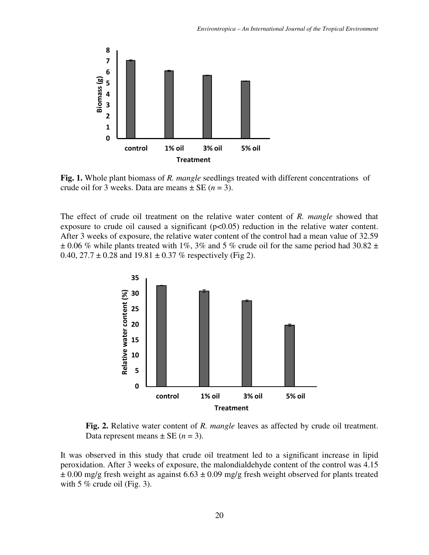

**Fig. 1.** Whole plant biomass of *R. mangle* seedlings treated with different concentrations of crude oil for 3 weeks. Data are means  $\pm$  SE ( $n = 3$ ).

The effect of crude oil treatment on the relative water content of *R. mangle* showed that exposure to crude oil caused a significant  $(p<0.05)$  reduction in the relative water content. After 3 weeks of exposure, the relative water content of the control had a mean value of 32.59  $\pm$  0.06 % while plants treated with 1%, 3% and 5 % crude oil for the same period had 30.82  $\pm$ 0.40,  $27.7 \pm 0.28$  and  $19.81 \pm 0.37$  % respectively (Fig 2).



 **Fig. 2.** Relative water content of *R. mangle* leaves as affected by crude oil treatment. Data represent means  $\pm$  SE (*n* = 3).

It was observed in this study that crude oil treatment led to a significant increase in lipid peroxidation. After 3 weeks of exposure, the malondialdehyde content of the control was 4.15  $\pm$  0.00 mg/g fresh weight as against 6.63  $\pm$  0.09 mg/g fresh weight observed for plants treated with 5  $%$  crude oil (Fig. 3).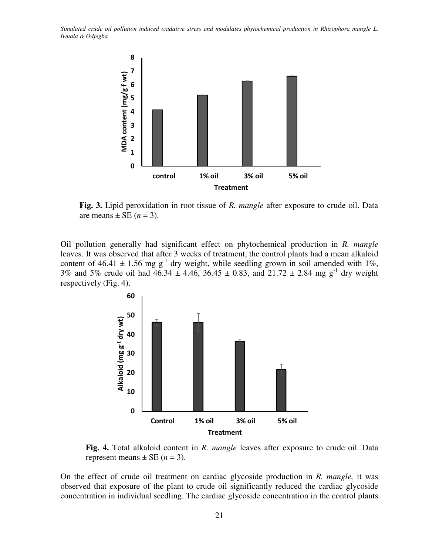

 **Fig. 3.** Lipid peroxidation in root tissue of *R. mangle* after exposure to crude oil. Data are means  $\pm$  SE (*n* = 3).

Oil pollution generally had significant effect on phytochemical production in *R. mangle*  leaves. It was observed that after 3 weeks of treatment, the control plants had a mean alkaloid content of 46.41  $\pm$  1.56 mg g<sup>-1</sup> dry weight, while seedling grown in soil amended with 1%, 3% and 5% crude oil had  $46.34 \pm 4.46$ ,  $36.45 \pm 0.83$ , and  $21.72 \pm 2.84$  mg g<sup>-1</sup> dry weight respectively (Fig. 4).



 **Fig. 4.** Total alkaloid content in *R. mangle* leaves after exposure to crude oil. Data represent means  $\pm$  SE ( $n = 3$ ).

On the effect of crude oil treatment on cardiac glycoside production in *R. mangle,* it was observed that exposure of the plant to crude oil significantly reduced the cardiac glycoside concentration in individual seedling. The cardiac glycoside concentration in the control plants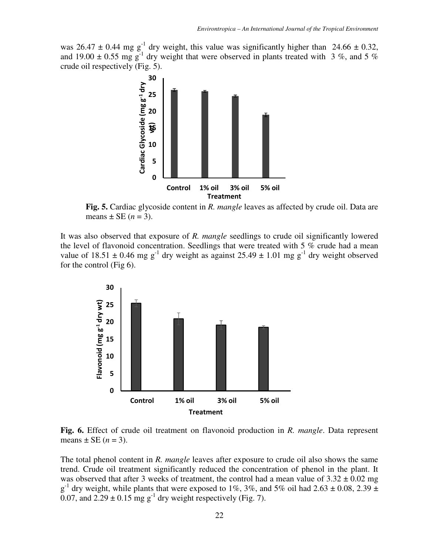was 26.47  $\pm$  0.44 mg g<sup>-1</sup> dry weight, this value was significantly higher than 24.66  $\pm$  0.32, and 19.00  $\pm$  0.55 mg g<sup>-1</sup> dry weight that were observed in plants treated with 3 %, and 5 % crude oil respectively (Fig. 5).



**Fig. 5.** Cardiac glycoside content in *R. mangle* leaves as affected by crude oil. Data are means  $\pm$  SE ( $n = 3$ ).

It was also observed that exposure of *R. mangle* seedlings to crude oil significantly lowered the level of flavonoid concentration. Seedlings that were treated with 5 % crude had a mean value of  $18.51 \pm 0.46$  mg g<sup>-1</sup> dry weight as against  $25.49 \pm 1.01$  mg g<sup>-1</sup> dry weight observed for the control (Fig 6).



**Fig. 6.** Effect of crude oil treatment on flavonoid production in *R. mangle*. Data represent means  $\pm$  SE ( $n = 3$ ).

The total phenol content in *R. mangle* leaves after exposure to crude oil also shows the same trend. Crude oil treatment significantly reduced the concentration of phenol in the plant. It was observed that after 3 weeks of treatment, the control had a mean value of  $3.32 \pm 0.02$  mg  $g^{-1}$  dry weight, while plants that were exposed to 1%, 3%, and 5% oil had 2.63  $\pm$  0.08, 2.39  $\pm$ 0.07, and  $2.29 \pm 0.15$  mg g<sup>-1</sup> dry weight respectively (Fig. 7).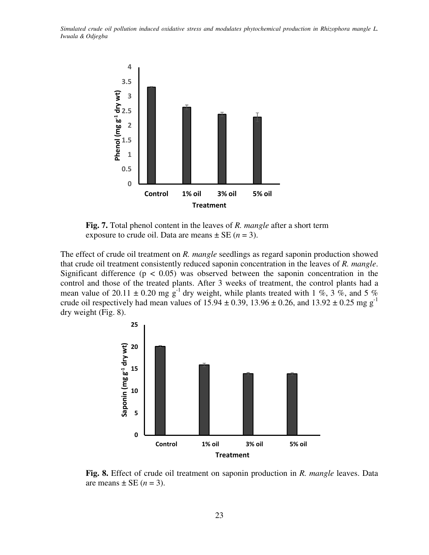

 **Fig. 7.** Total phenol content in the leaves of *R. mangle* after a short term exposure to crude oil. Data are means  $\pm$  SE ( $n = 3$ ).

The effect of crude oil treatment on *R. mangle* seedlings as regard saponin production showed that crude oil treatment consistently reduced saponin concentration in the leaves of *R. mangle*. Significant difference ( $p < 0.05$ ) was observed between the saponin concentration in the control and those of the treated plants. After 3 weeks of treatment, the control plants had a mean value of 20.11  $\pm$  0.20 mg g<sup>-1</sup> dry weight, while plants treated with 1 %, 3 %, and 5 % crude oil respectively had mean values of  $15.94 \pm 0.39$ ,  $13.96 \pm 0.26$ , and  $13.92 \pm 0.25$  mg g<sup>-1</sup> dry weight (Fig. 8).



 **Fig. 8.** Effect of crude oil treatment on saponin production in *R. mangle* leaves. Data are means  $\pm$  SE (*n* = 3).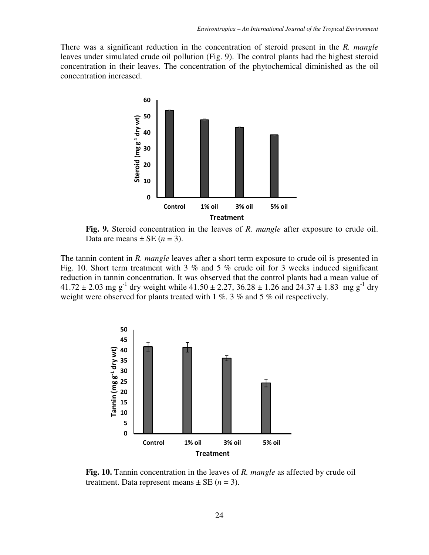There was a significant reduction in the concentration of steroid present in the *R. mangle* leaves under simulated crude oil pollution (Fig. 9). The control plants had the highest steroid concentration in their leaves. The concentration of the phytochemical diminished as the oil concentration increased.



**Fig. 9.** Steroid concentration in the leaves of *R. mangle* after exposure to crude oil. Data are means  $\pm$  SE (*n* = 3).

The tannin content in *R. mangle* leaves after a short term exposure to crude oil is presented in Fig. 10. Short term treatment with 3 % and 5 % crude oil for 3 weeks induced significant reduction in tannin concentration. It was observed that the control plants had a mean value of 41.72  $\pm$  2.03 mg g<sup>-1</sup> dry weight while 41.50  $\pm$  2.27, 36.28  $\pm$  1.26 and 24.37  $\pm$  1.83 mg g<sup>-1</sup> dry weight were observed for plants treated with 1 %. 3 % and 5 % oil respectively.



**Fig. 10.** Tannin concentration in the leaves of *R. mangle* as affected by crude oil treatment. Data represent means  $\pm$  SE ( $n = 3$ ).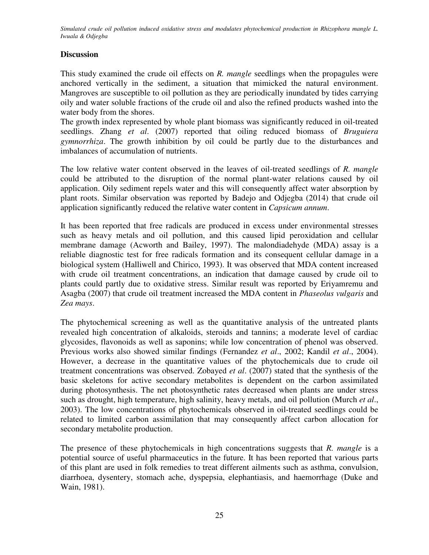# **Discussion**

This study examined the crude oil effects on *R. mangle* seedlings when the propagules were anchored vertically in the sediment, a situation that mimicked the natural environment. Mangroves are susceptible to oil pollution as they are periodically inundated by tides carrying oily and water soluble fractions of the crude oil and also the refined products washed into the water body from the shores.

The growth index represented by whole plant biomass was significantly reduced in oil-treated seedlings. Zhang *et al*. (2007) reported that oiling reduced biomass of *Bruguiera gymnorrhiza*. The growth inhibition by oil could be partly due to the disturbances and imbalances of accumulation of nutrients.

The low relative water content observed in the leaves of oil-treated seedlings of *R. mangle* could be attributed to the disruption of the normal plant-water relations caused by oil application. Oily sediment repels water and this will consequently affect water absorption by plant roots. Similar observation was reported by Badejo and Odjegba (2014) that crude oil application significantly reduced the relative water content in *Capsicum annum*.

It has been reported that free radicals are produced in excess under environmental stresses such as heavy metals and oil pollution, and this caused lipid peroxidation and cellular membrane damage (Acworth and Bailey, 1997). The malondiadehyde (MDA) assay is a reliable diagnostic test for free radicals formation and its consequent cellular damage in a biological system (Halliwell and Chirico, 1993). It was observed that MDA content increased with crude oil treatment concentrations, an indication that damage caused by crude oil to plants could partly due to oxidative stress. Similar result was reported by Eriyamremu and Asagba (2007) that crude oil treatment increased the MDA content in *Phaseolus vulgaris* and *Zea mays*.

The phytochemical screening as well as the quantitative analysis of the untreated plants revealed high concentration of alkaloids, steroids and tannins; a moderate level of cardiac glycosides, flavonoids as well as saponins; while low concentration of phenol was observed. Previous works also showed similar findings (Fernandez *et al*., 2002; Kandil *et al*., 2004). However, a decrease in the quantitative values of the phytochemicals due to crude oil treatment concentrations was observed. Zobayed *et al*. (2007) stated that the synthesis of the basic skeletons for active secondary metabolites is dependent on the carbon assimilated during photosynthesis. The net photosynthetic rates decreased when plants are under stress such as drought, high temperature, high salinity, heavy metals, and oil pollution (Murch *et al*., 2003). The low concentrations of phytochemicals observed in oil-treated seedlings could be related to limited carbon assimilation that may consequently affect carbon allocation for secondary metabolite production.

The presence of these phytochemicals in high concentrations suggests that *R. mangle* is a potential source of useful pharmaceutics in the future. It has been reported that various parts of this plant are used in folk remedies to treat different ailments such as asthma, convulsion, diarrhoea, dysentery, stomach ache, dyspepsia, elephantiasis, and haemorrhage (Duke and Wain, 1981).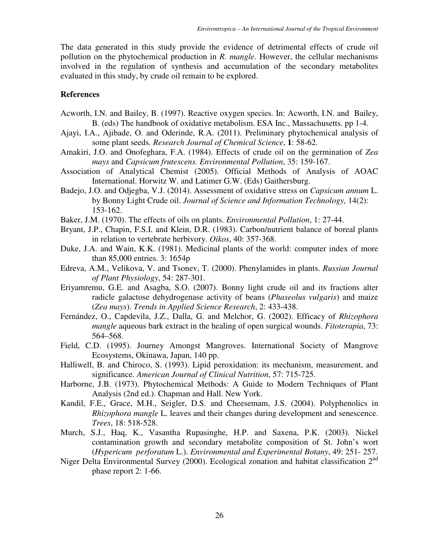The data generated in this study provide the evidence of detrimental effects of crude oil pollution on the phytochemical production in *R. mangle*. However, the cellular mechanisms involved in the regulation of synthesis and accumulation of the secondary metabolites evaluated in this study, by crude oil remain to be explored.

# **References**

- Acworth, I.N. and Bailey, B. (1997). Reactive oxygen species. In: Acworth, I.N. and Bailey, B. (eds) The handbook of oxidative metabolism. ESA Inc., Massachusetts. pp 1-4.
- Ajayi, I.A., Ajibade, O. and Oderinde, R.A. (2011). Preliminary phytochemical analysis of some plant seeds. *Research Journal of Chemical Science*, **1**: 58-62.
- Amakiri, J.O. and Onofeghara, F.A. (1984). Effects of crude oil on the germination of *Zea mays* and *Capsicum frutescens. Environmental Pollution*, 35: 159-167.
- Association of Analytical Chemist (2005). Official Methods of Analysis of AOAC International. Horwitz W. and Latimer G.W. (Eds) Gaithersburg.
- Badejo, J.O. and Odjegba, V.J. (2014). Assessment of oxidative stress on *Capsicum annum* L. by Bonny Light Crude oil. *Journal of Science and Information Technology,* 14(2): 153-162.
- Baker, J.M. (1970). The effects of oils on plants. *Environmental Pollution*, 1: 27-44.
- Bryant, J.P., Chapin, F.S.I. and Klein, D.R. (1983). Carbon/nutrient balance of boreal plants in relation to vertebrate herbivory. *Oikos*, 40: 357-368.
- Duke, J.A. and Wain, K.K. (1981). Medicinal plants of the world: computer index of more than 85,000 entries. 3: 1654p
- Edreva, A.M., Velikova, V. and Tsonev, T. (2000). Phenylamides in plants. *Russian Journal of Plant Physiology*, 54: 287-301.
- Eriyamremu, G.E. and Asagba, S.O. (2007). Bonny light crude oil and its fractions alter radicle galactose dehydrogenase activity of beans (*Phaseolus vulgaris*) and maize (*Zea mays*). *Trends in Applied Science Research*, 2: 433-438.
- Fernández, O., Capdevila, J.Z., Dalla, G. and Melchor, G. (2002). Efficacy of *Rhizophora mangle* aqueous bark extract in the healing of open surgical wounds. *Fitoterapia*, 73: 564–568.
- Field, C.D. (1995). Journey Amongst Mangroves. International Society of Mangrove Ecosystems, Okinawa, Japan, 140 pp.
- Halliwell, B. and Chiroco, S. (1993). Lipid peroxidation: its mechanism, measurement, and significance. *American Journal of Clinical Nutrition*, 57: 715-725.
- Harborne, J.B. (1973). Phytochemical Methods: A Guide to Modern Techniques of Plant Analysis (2nd ed.). Chapman and Hall. New York.
- Kandil, F.E., Grace, M.H., Seigler, D.S. and Cheesemam, J.S. (2004). Polyphenolics in *Rhizophora mangle* L. leaves and their changes during development and senescence. *Trees*, 18: 518-528.
- Murch, S.J., Haq, K., Vasantha Rupasinghe, H.P. and Saxena, P.K. (2003). Nickel contamination growth and secondary metabolite composition of St. John's wort (*Hypericum perforatum* L.). *Environmental and Experimental Botany*, 49: 251-/257.
- Niger Delta Environmental Survey (2000). Ecological zonation and habitat classification 2<sup>nd</sup> phase report 2: 1-66.